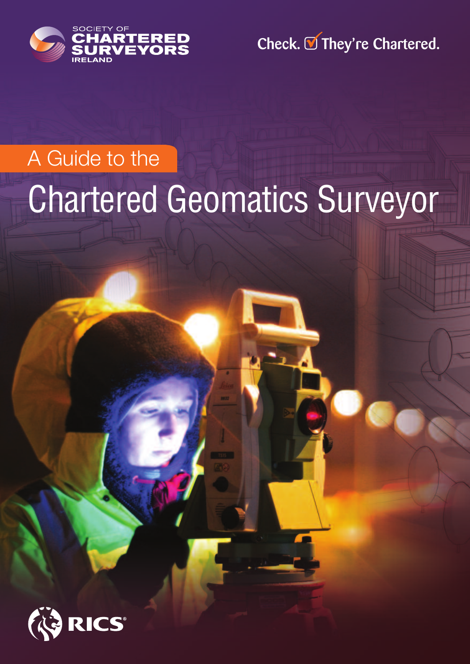

Check. **■** They're Chartered.

# Chartered Geomatics Surveyor A Guide to the

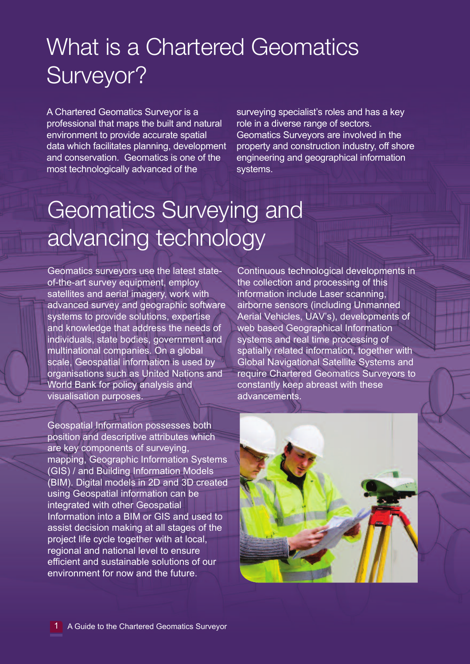# What is a Chartered Geomatics Surveyor?

A Chartered Geomatics Surveyor is a professional that maps the built and natural environment to provide accurate spatial data which facilitates planning, development and conservation. Geomatics is one of the most technologically advanced of the

surveying specialist's roles and has a key role in a diverse range of sectors. Geomatics Surveyors are involved in the property and construction industry, off shore engineering and geographical information systems.

### Geomatics Surveying and advancing technology

Geomatics surveyors use the latest stateof-the-art survey equipment, employ satellites and aerial imagery, work with advanced survey and geographic software systems to provide solutions, expertise and knowledge that address the needs of individuals, state bodies, government and multinational companies. On a global scale, Geospatial information is used by organisations such as United Nations and World Bank for policy analysis and visualisation purposes.

Geospatial Information possesses both position and descriptive attributes which are key components of surveying, mapping, Geographic Information Systems (GIS) / and Building Information Models (BIM). Digital models in 2D and 3D created using Geospatial information can be integrated with other Geospatial Information into a BIM or GIS and used to assist decision making at all stages of the project life cycle together with at local, regional and national level to ensure efficient and sustainable solutions of our environment for now and the future.

Continuous technological developments in the collection and processing of this information include Laser scanning, airborne sensors (including Unmanned Aerial Vehicles, UAV's), developments of web based Geographical Information systems and real time processing of spatially related information, together with Global Navigational Satellite Systems and require Chartered Geomatics Surveyors to constantly keep abreast with these advancements.

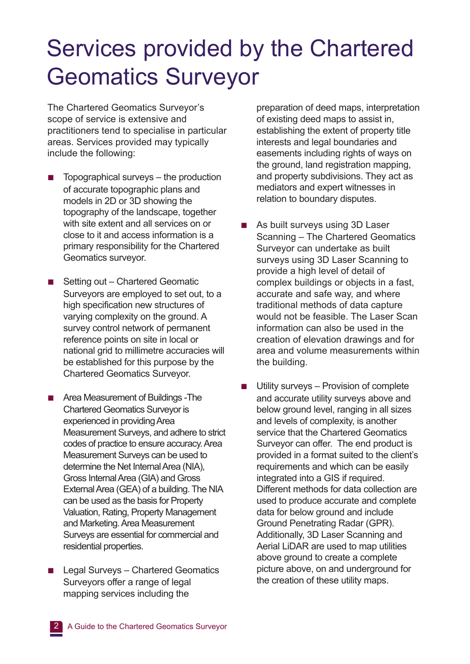### Services provided by the Chartered Geomatics Surveyor

The Chartered Geomatics Surveyor's scope of service is extensive and practitioners tend to specialise in particular areas. Services provided may typically include the following:

- **■** Topographical surveys the production of accurate topographic plans and models in 2D or 3D showing the topography of the landscape, together with site extent and all services on or close to it and access information is a primary responsibility for the Chartered Geomatics surveyor.
- Setting out Chartered Geomatic Surveyors are employed to set out, to a high specification new structures of varying complexity on the ground. A survey control network of permanent reference points on site in local or national grid to millimetre accuracies will be established for this purpose by the Chartered Geomatics Surveyor.
- Area Measurement of Buildings -The Chartered Geomatics Surveyor is experienced in providing Area Measurement Surveys, and adhere to strict codes of practice to ensure accuracy. Area Measurement Surveys can be used to determine the Net Internal Area (NIA), Gross Internal Area (GIA) and Gross External Area (GEA) of a building. The NIA can be used as the basis for Property Valuation, Rating, Property Management and Marketing. Area Measurement Surveys are essential for commercial and residential properties.
- **■** Legal Surveys Chartered Geomatics Surveyors offer a range of legal mapping services including the

preparation of deed maps, interpretation of existing deed maps to assist in, establishing the extent of property title interests and legal boundaries and easements including rights of ways on the ground, land registration mapping, and property subdivisions. They act as mediators and expert witnesses in relation to boundary disputes.

- **■** As built surveys using 3D Laser Scanning – The Chartered Geomatics Surveyor can undertake as built surveys using 3D Laser Scanning to provide a high level of detail of complex buildings or objects in a fast, accurate and safe way, and where traditional methods of data capture would not be feasible. The Laser Scan information can also be used in the creation of elevation drawings and for area and volume measurements within the building.
- Utility surveys Provision of complete and accurate utility surveys above and below ground level, ranging in all sizes and levels of complexity, is another service that the Chartered Geomatics Surveyor can offer. The end product is provided in a format suited to the client's requirements and which can be easily integrated into a GIS if required. Different methods for data collection are used to produce accurate and complete data for below ground and include Ground Penetrating Radar (GPR). Additionally, 3D Laser Scanning and Aerial LiDAR are used to map utilities above ground to create a complete picture above, on and underground for the creation of these utility maps.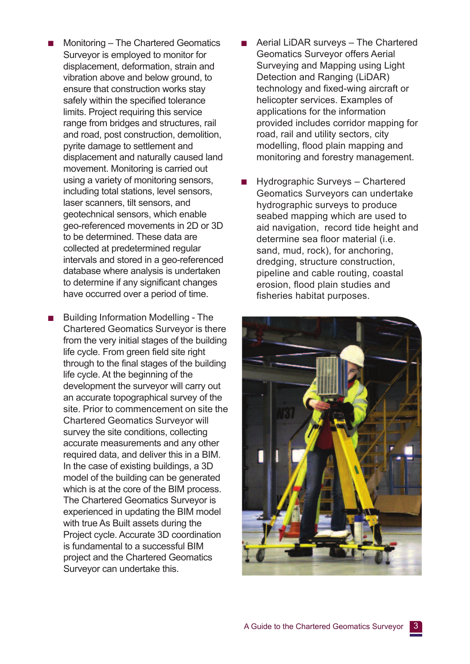- **■** Monitoring The Chartered Geomatics Surveyor is employed to monitor for displacement, deformation, strain and vibration above and below ground, to ensure that construction works stay safely within the specified tolerance limits. Project requiring this service range from bridges and structures, rail and road, post construction, demolition, pyrite damage to settlement and displacement and naturally caused land movement. Monitoring is carried out using a variety of monitoring sensors, including total stations, level sensors, laser scanners, tilt sensors, and geotechnical sensors, which enable geo-referenced movements in 2D or 3D to be determined. These data are collected at predetermined regular intervals and stored in a geo-referenced database where analysis is undertaken to determine if any significant changes have occurred over a period of time.
- **■** Building Information Modelling The Chartered Geomatics Surveyor is there from the very initial stages of the building life cycle. From green field site right through to the final stages of the building life cycle. At the beginning of the development the surveyor will carry out an accurate topographical survey of the site. Prior to commencement on site the Chartered Geomatics Surveyor will survey the site conditions, collecting accurate measurements and any other required data, and deliver this in a BIM. In the case of existing buildings, a 3D model of the building can be generated which is at the core of the BIM process. The Chartered Geomatics Surveyor is experienced in updating the BIM model with true As Built assets during the Project cycle. Accurate 3D coordination is fundamental to a successful BIM project and the Chartered Geomatics Surveyor can undertake this.
- **■** Aerial LiDAR surveys The Chartered Geomatics Surveyor offers Aerial Surveying and Mapping using Light Detection and Ranging (LiDAR) technology and fixed-wing aircraft or helicopter services. Examples of applications for the information provided includes corridor mapping for road, rail and utility sectors, city modelling, flood plain mapping and monitoring and forestry management.
- **■** Hydrographic Surveys Chartered Geomatics Surveyors can undertake hydrographic surveys to produce seabed mapping which are used to aid navigation, record tide height and determine sea floor material (i.e. sand, mud, rock), for anchoring, dredging, structure construction, pipeline and cable routing, coastal erosion, flood plain studies and fisheries habitat purposes.

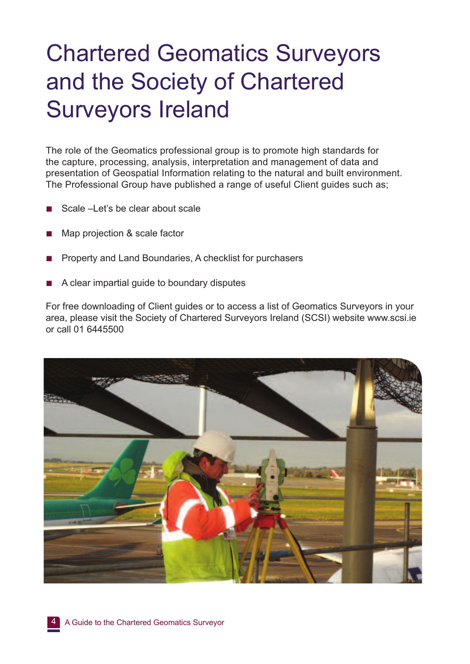# Chartered Geomatics Surveyors and the Society of Chartered Surveyors Ireland

The role of the Geomatics professional group is to promote high standards for the capture, processing, analysis, interpretation and management of data and presentation of Geospatial Information relating to the natural and built environment. The Professional Group have published a range of useful Client guides such as;

- Scale –Let's be clear about scale
- Map projection & scale factor
- **■** Property and Land Boundaries, A checklist for purchasers
- **■** A clear impartial guide to boundary disputes

For free downloading of Client guides or to access a list of Geomatics Surveyors in your area, please visit the Society of Chartered Surveyors Ireland (SCSI) website www.scsi.ie or call 01 6445500